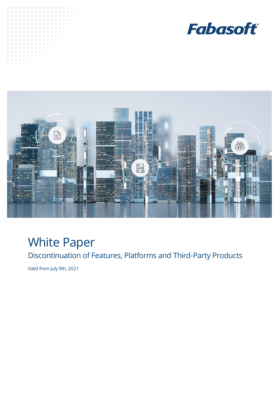





## White Paper

Discontinuation of Features, Platforms and Third-Party Products

Valid from July 9th, 2021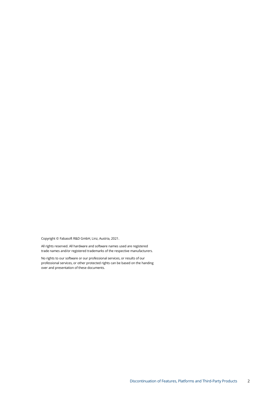Copyright © Fabasoft R&D GmbH, Linz, Austria, 2021.

All rights reserved. All hardware and software names used are registered trade names and/or registered trademarks of the respective manufacturers.

No rights to our software or our professional services, or results of our professional services, or other protected rights can be based on the handing over and presentation of these documents.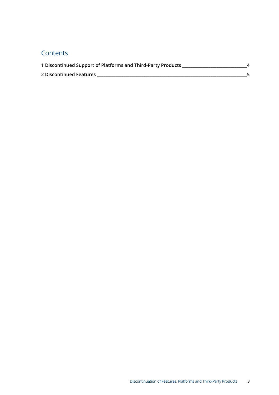## **Contents**

| 1 Discontinued Support of Platforms and Third-Party Products |  |
|--------------------------------------------------------------|--|
| 2 Discontinued Features                                      |  |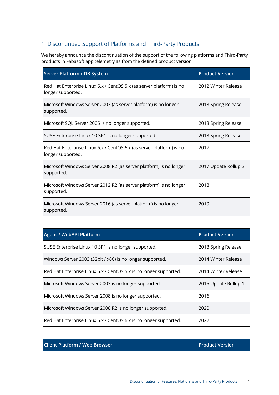## <span id="page-3-0"></span>1 Discontinued Support of Platforms and Third-Party Products

We hereby announce the discontinuation of the support of the following platforms and Third-Party products in Fabasoft app.telemetry as from the defined product version:

| Server Platform / DB System                                                               | <b>Product Version</b> |
|-------------------------------------------------------------------------------------------|------------------------|
| Red Hat Enterprise Linux 5.x / CentOS 5.x (as server platform) is no<br>longer supported. | 2012 Winter Release    |
| Microsoft Windows Server 2003 (as server platform) is no longer<br>supported.             | 2013 Spring Release    |
| Microsoft SQL Server 2005 is no longer supported.                                         | 2013 Spring Release    |
| SUSE Enterprise Linux 10 SP1 is no longer supported.                                      | 2013 Spring Release    |
| Red Hat Enterprise Linux 6.x / CentOS 6.x (as server platform) is no<br>longer supported. | 2017                   |
| Microsoft Windows Server 2008 R2 (as server platform) is no longer<br>supported.          | 2017 Update Rollup 2   |
| Microsoft Windows Server 2012 R2 (as server platform) is no longer<br>supported.          | 2018                   |
| Microsoft Windows Server 2016 (as server platform) is no longer<br>supported.             | 2019                   |

| <b>Agent / WebAPI Platform</b>                                    | <b>Product Version</b> |
|-------------------------------------------------------------------|------------------------|
| SUSE Enterprise Linux 10 SP1 is no longer supported.              | 2013 Spring Release    |
| Windows Server 2003 (32bit / x86) is no longer supported.         | 2014 Winter Release    |
| Red Hat Enterprise Linux 5.x / CentOS 5.x is no longer supported. | 2014 Winter Release    |
| Microsoft Windows Server 2003 is no longer supported.             | 2015 Update Rollup 1   |
| Microsoft Windows Server 2008 is no longer supported.             | 2016                   |
| Microsoft Windows Server 2008 R2 is no longer supported.          | 2020                   |
| Red Hat Enterprise Linux 6.x / CentOS 6.x is no longer supported. | 2022                   |

**Client Platform / Web Browser Product Version**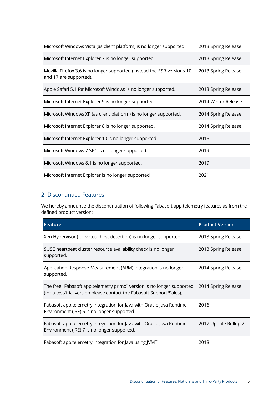| Microsoft Windows Vista (as client platform) is no longer supported.                              | 2013 Spring Release |
|---------------------------------------------------------------------------------------------------|---------------------|
| Microsoft Internet Explorer 7 is no longer supported.                                             | 2013 Spring Release |
| Mozilla Firefox 3.6 is no longer supported (instead the ESR-versions 10<br>and 17 are supported). | 2013 Spring Release |
| Apple Safari 5.1 for Microsoft Windows is no longer supported.                                    | 2013 Spring Release |
| Microsoft Internet Explorer 9 is no longer supported.                                             | 2014 Winter Release |
| Microsoft Windows XP (as client platform) is no longer supported.                                 | 2014 Spring Release |
| Microsoft Internet Explorer 8 is no longer supported.                                             | 2014 Spring Release |
| Microsoft Internet Explorer 10 is no longer supported.                                            | 2016                |
| Microsoft Windows 7 SP1 is no longer supported.                                                   | 2019                |
| Microsoft Windows 8.1 is no longer supported.                                                     | 2019                |
| Microsoft Internet Explorer is no longer supported                                                | 2021                |

## <span id="page-4-0"></span>2 Discontinued Features

We hereby announce the discontinuation of following Fabasoft app.telemetry features as from the defined product version:

| Feature                                                                                                                                         | <b>Product Version</b> |
|-------------------------------------------------------------------------------------------------------------------------------------------------|------------------------|
| Xen Hypervisor (for virtual-host detection) is no longer supported.                                                                             | 2013 Spring Release    |
| SUSE heartbeat cluster resource availability check is no longer<br>supported.                                                                   | 2013 Spring Release    |
| Application Response Measurement (ARM) Integration is no longer<br>supported.                                                                   | 2014 Spring Release    |
| The free "Fabasoft app.telemetry primo" version is no longer supported<br>(for a test/trial version please contact the Fabasoft Support/Sales). | 2014 Spring Release    |
| Fabasoft app.telemetry Integration for Java with Oracle Java Runtime<br>Environment (JRE) 6 is no longer supported.                             | 2016                   |
| Fabasoft app.telemetry Integration for Java with Oracle Java Runtime<br>Environment (JRE) 7 is no longer supported.                             | 2017 Update Rollup 2   |
| Fabasoft app.telemetry Integration for Java using JVMTI                                                                                         | 2018                   |